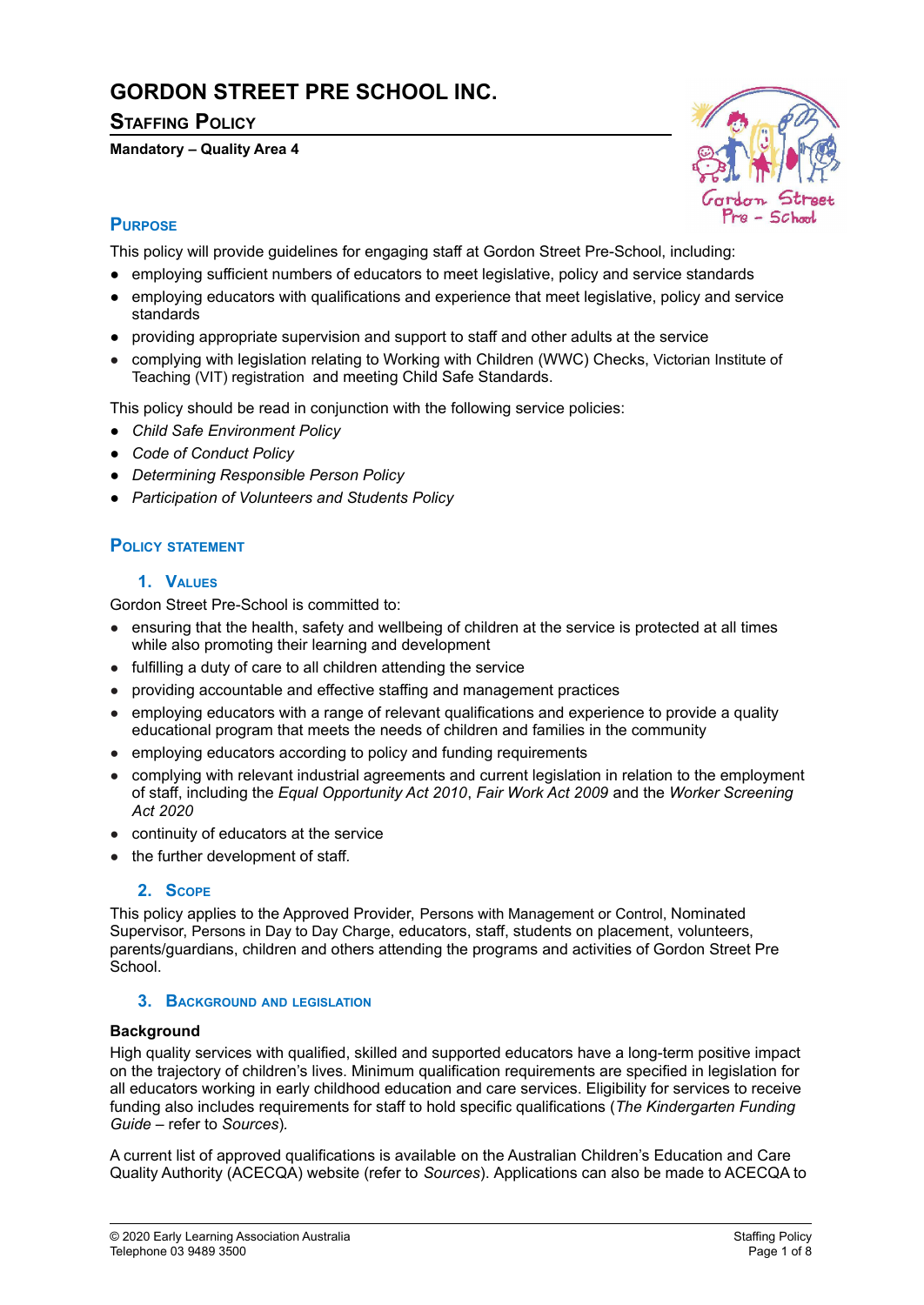# **GORDON STREET PRE SCHOOL INC.**

# **STAFFING POLICY**

### **Mandatory – Quality Area 4**



# **PURPOSE**

This policy will provide guidelines for engaging staff at Gordon Street Pre-School, including:

- *●* employing sufficient numbers of educators to meet legislative, policy and service standards
- employing educators with qualifications and experience that meet legislative, policy and service standards
- *●* providing appropriate supervision and support to staff and other adults at the service
- complying with legislation relating to Working with Children (WWC) Checks, Victorian Institute of Teaching (VIT) registration and meeting Child Safe Standards.

This policy should be read in conjunction with the following service policies:

- *● Child Safe Environment Policy*
- *● Code of Conduct Policy*
- *● Determining Responsible Person Policy*
- *● Participation of Volunteers and Students Policy*

# **POLICY STATEMENT**

# **1. VALUES**

Gordon Street Pre-School is committed to:

- ensuring that the health, safety and wellbeing of children at the service is protected at all times while also promoting their learning and development
- fulfilling a duty of care to all children attending the service
- providing accountable and effective staffing and management practices
- employing educators with a range of relevant qualifications and experience to provide a quality educational program that meets the needs of children and families in the community
- employing educators according to policy and funding requirements
- complying with relevant industrial agreements and current legislation in relation to the employment of staff, including the *Equal Opportunity Act 2010*, *Fair Work Act 2009* and the *Worker Screening Act 2020*
- continuity of educators at the service
- the further development of staff*.*

# **2. SCOPE**

This policy applies to the Approved Provider, Persons with Management or Control, Nominated Supervisor, Persons in Day to Day Charge, educators, staff, students on placement, volunteers, parents/guardians, children and others attending the programs and activities of Gordon Street Pre **School.** 

#### **3. BACKGROUND AND LEGISLATION**

#### **Background**

High quality services with qualified, skilled and supported educators have a long-term positive impact on the trajectory of children's lives. Minimum qualification requirements are specified in legislation for all educators working in early childhood education and care services. Eligibility for services to receive funding also includes requirements for staff to hold specific qualifications (*The Kindergarten Funding Guide –* refer to *Sources*)*.*

A current list of approved qualifications is available on the Australian Children's Education and Care Quality Authority (ACECQA) website (refer to *Sources*). Applications can also be made to ACECQA to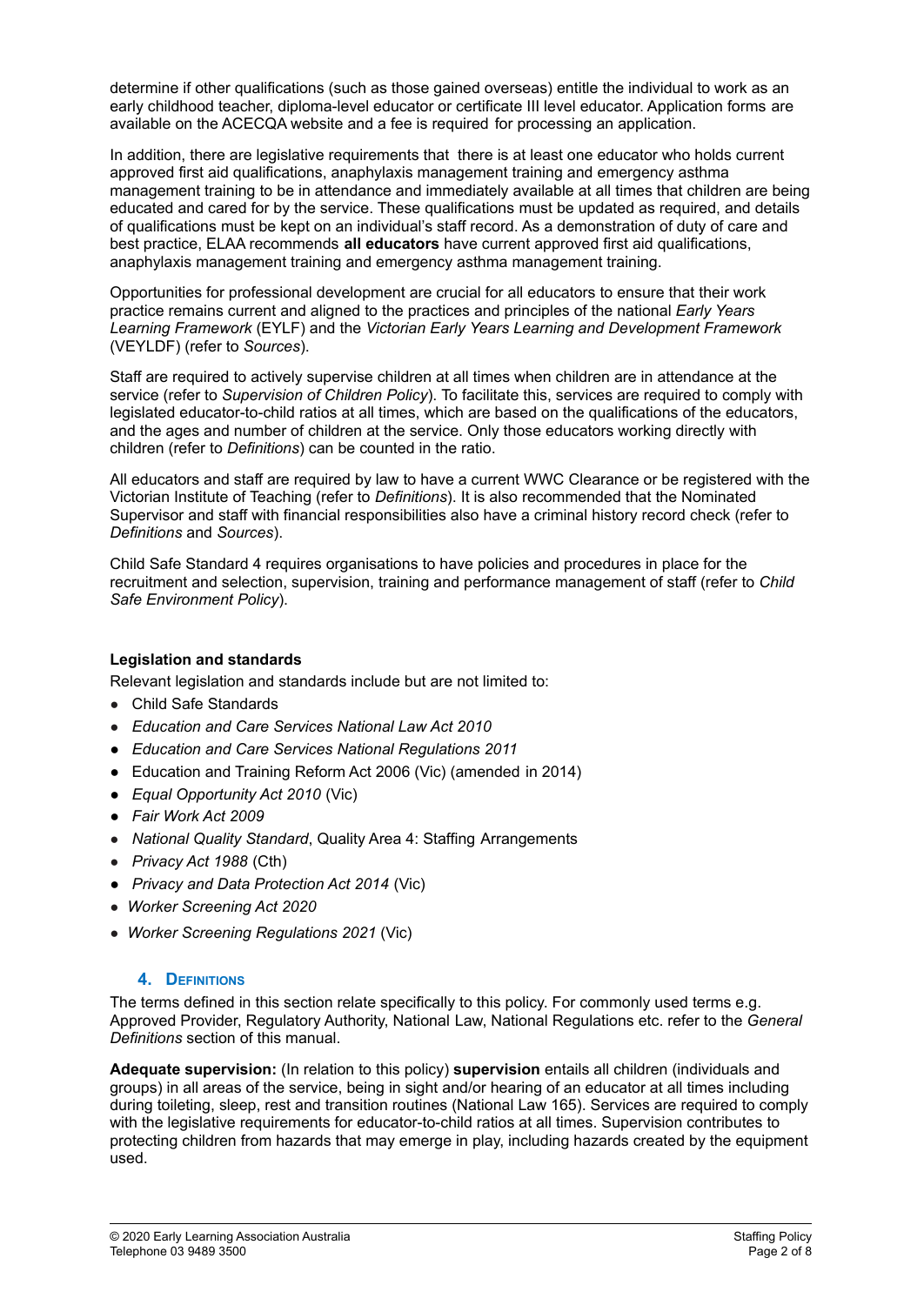determine if other qualifications (such as those gained overseas) entitle the individual to work as an early childhood teacher, diploma-level educator or certificate III level educator. Application forms are available on the ACECQA website and a fee is required for processing an application.

In addition, there are legislative requirements that there is at least one educator who holds current approved first aid qualifications, anaphylaxis management training and emergency asthma management training to be in attendance and immediately available at all times that children are being educated and cared for by the service. These qualifications must be updated as required, and details of qualifications must be kept on an individual's staff record. As a demonstration of duty of care and best practice, ELAA recommends **all educators** have current approved first aid qualifications, anaphylaxis management training and emergency asthma management training.

Opportunities for professional development are crucial for all educators to ensure that their work practice remains current and aligned to the practices and principles of the national *Early Years Learning Framework* (EYLF) and the *Victorian Early Years Learning and Development Framework* (VEYLDF) (refer to *Sources*).

Staff are required to actively supervise children at all times when children are in attendance at the service (refer to *Supervision of Children Policy*). To facilitate this, services are required to comply with legislated educator-to-child ratios at all times, which are based on the qualifications of the educators, and the ages and number of children at the service. Only those educators working directly with children (refer to *Definitions*) can be counted in the ratio.

All educators and staff are required by law to have a current WWC Clearance or be registered with the Victorian Institute of Teaching (refer to *Definitions*). It is also recommended that the Nominated Supervisor and staff with financial responsibilities also have a criminal history record check (refer to *Definitions* and *Sources*).

Child Safe Standard 4 requires organisations to have policies and procedures in place for the recruitment and selection, supervision, training and performance management of staff (refer to *Child Safe Environment Policy*).

# **Legislation and standards**

Relevant legislation and standards include but are not limited to:

- Child Safe Standards
- *Education and Care Services National Law Act 2010*
- *Education and Care Services National Regulations 2011*
- *●* Education and Training Reform Act 2006 (Vic) (amended in 2014)
- *● Equal Opportunity Act 2010* (Vic)
- *● Fair Work Act 2009*
- *National Quality Standard*, Quality Area 4: Staffing Arrangements
- *Privacy Act 1988* (Cth)
- *Privacy and Data Protection Act 2014* (Vic)
- *Worker Screening Act 2020*
- *Worker Screening Regulations 2021* (Vic)

# **4. DEFINITIONS**

The terms defined in this section relate specifically to this policy. For commonly used terms e.g. Approved Provider, Regulatory Authority, National Law, National Regulations etc. refer to the *General Definitions* section of this manual.

**Adequate supervision:** (In relation to this policy) **supervision** entails all children (individuals and groups) in all areas of the service, being in sight and/or hearing of an educator at all times including during toileting, sleep, rest and transition routines (National Law 165). Services are required to comply with the legislative requirements for educator-to-child ratios at all times. Supervision contributes to protecting children from hazards that may emerge in play, including hazards created by the equipment used.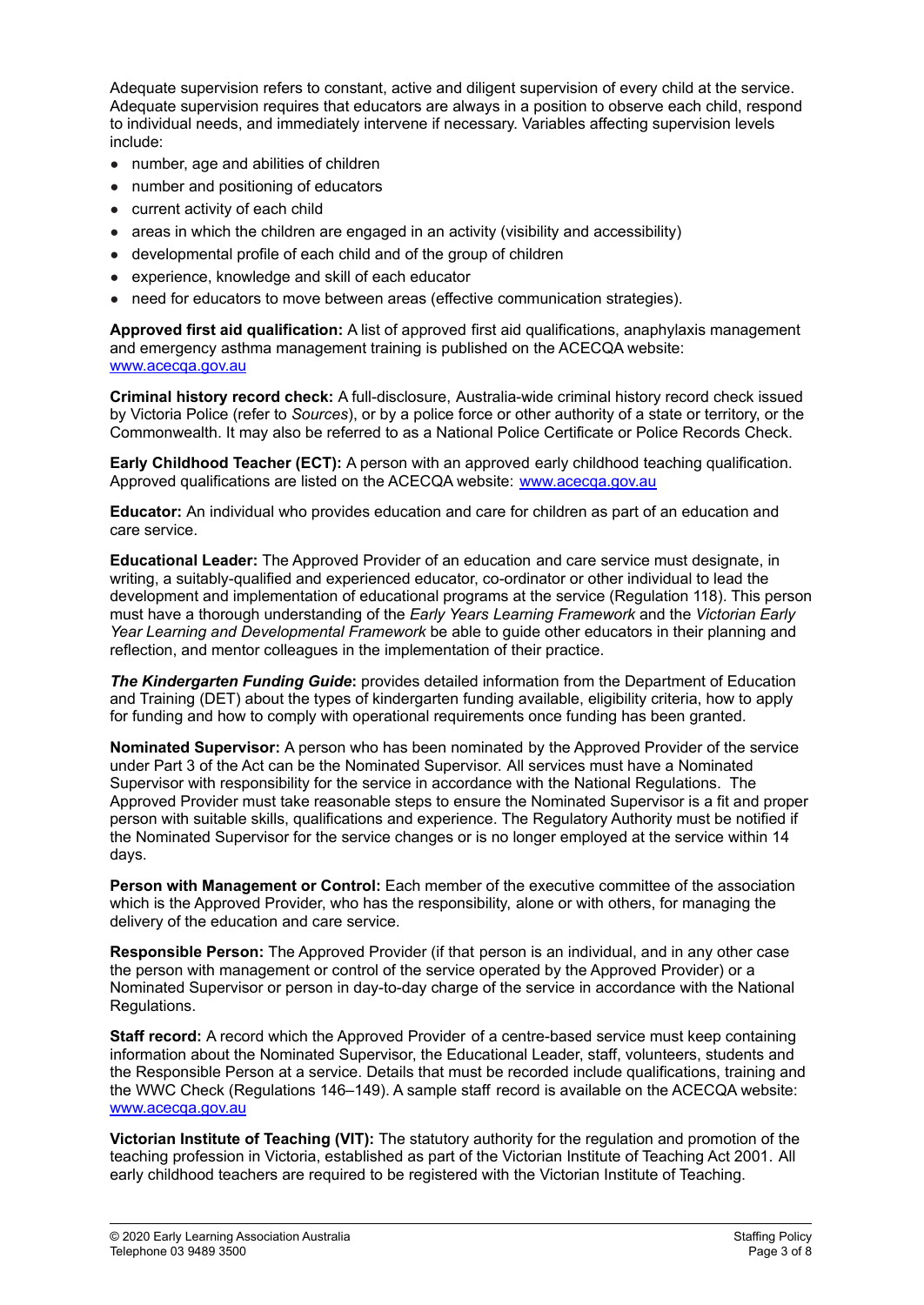Adequate supervision refers to constant, active and diligent supervision of every child at the service. Adequate supervision requires that educators are always in a position to observe each child, respond to individual needs, and immediately intervene if necessary. Variables affecting supervision levels include:

- number, age and abilities of children
- number and positioning of educators
- current activity of each child
- areas in which the children are engaged in an activity (visibility and accessibility)
- developmental profile of each child and of the group of children
- experience, knowledge and skill of each educator
- need for educators to move between areas (effective communication strategies).

**Approved first aid qualification:** A list of approved first aid qualifications, anaphylaxis management and emergency asthma management training is published on the ACECQA website: [www.acecqa.gov.au](http://www.acecqa.gov.au)

**Criminal history record check:** A full-disclosure, Australia-wide criminal history record check issued by Victoria Police (refer to *Sources*), or by a police force or other authority of a state or territory, or the Commonwealth. It may also be referred to as a National Police Certificate or Police Records Check.

**Early Childhood Teacher (ECT):** A person with an approved early childhood teaching qualification. Approved qualifications are listed on the ACECQA website: [www.acecqa.gov.au](http://www.acecqa.gov.au)

**Educator:** An individual who provides education and care for children as part of an education and care service.

**Educational Leader:** The Approved Provider of an education and care service must designate, in writing, a suitably-qualified and experienced educator, co-ordinator or other individual to lead the development and implementation of educational programs at the service (Regulation 118). This person must have a thorough understanding of the *Early Years Learning Framework* and the *Victorian Early Year Learning and Developmental Framework* be able to guide other educators in their planning and reflection, and mentor colleagues in the implementation of their practice.

*The Kindergarten Funding Guide***:** provides detailed information from the Department of Education and Training (DET) about the types of kindergarten funding available, eligibility criteria, how to apply for funding and how to comply with operational requirements once funding has been granted.

**Nominated Supervisor:** A person who has been nominated by the Approved Provider of the service under Part 3 of the Act can be the Nominated Supervisor. All services must have a Nominated Supervisor with responsibility for the service in accordance with the National Regulations. The Approved Provider must take reasonable steps to ensure the Nominated Supervisor is a fit and proper person with suitable skills, qualifications and experience. The Regulatory Authority must be notified if the Nominated Supervisor for the service changes or is no longer employed at the service within 14 days.

**Person with Management or Control:** Each member of the executive committee of the association which is the Approved Provider, who has the responsibility, alone or with others, for managing the delivery of the education and care service.

**Responsible Person:** The Approved Provider (if that person is an individual, and in any other case the person with management or control of the service operated by the Approved Provider) or a Nominated Supervisor or person in day-to-day charge of the service in accordance with the National Regulations.

**Staff record:** A record which the Approved Provider of a centre-based service must keep containing information about the Nominated Supervisor, the Educational Leader, staff, volunteers, students and the Responsible Person at a service. Details that must be recorded include qualifications, training and the WWC Check (Regulations 146–149). A sample staff record is available on the ACECQA website: [www.acecqa.gov.au](http://www.acecqa.gov.au)

**Victorian Institute of Teaching (VIT):** The statutory authority for the regulation and promotion of the teaching profession in Victoria, established as part of the Victorian Institute of Teaching Act 2001. All early childhood teachers are required to be registered with the Victorian Institute of Teaching.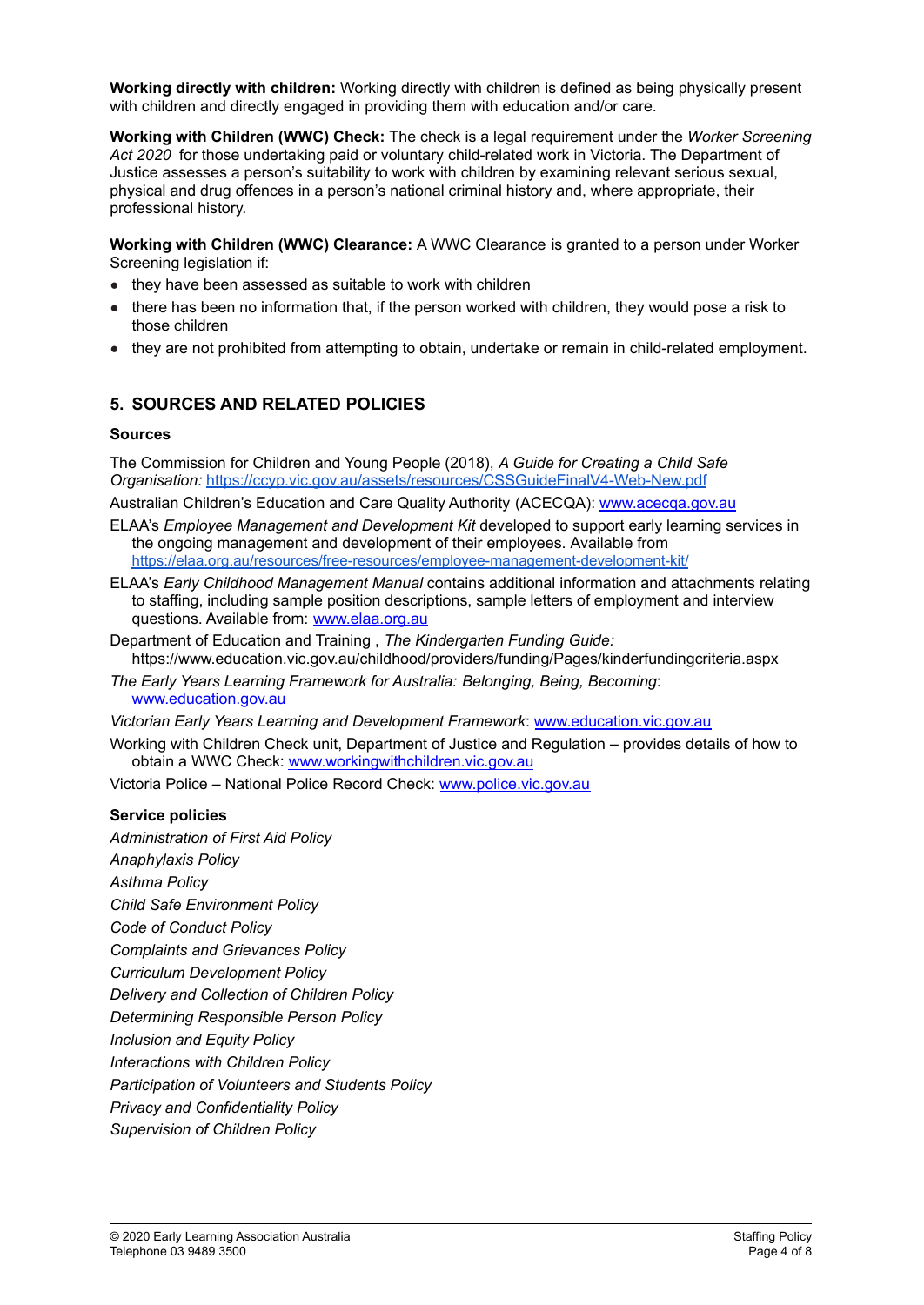**Working directly with children:** Working directly with children is defined as being physically present with children and directly engaged in providing them with education and/or care.

**Working with Children (WWC) Check:** The check is a legal requirement under the *Worker Screening Act 2020* for those undertaking paid or voluntary child-related work in Victoria. The Department of Justice assesses a person's suitability to work with children by examining relevant serious sexual, physical and drug offences in a person's national criminal history and, where appropriate, their professional history.

**Working with Children (WWC) Clearance:** A WWC Clearance is granted to a person under Worker Screening legislation if:

- they have been assessed as suitable to work with children
- there has been no information that, if the person worked with children, they would pose a risk to those children
- they are not prohibited from attempting to obtain, undertake or remain in child-related employment.

# **5. SOURCES AND RELATED POLICIES**

#### **Sources**

The Commission for Children and Young People (2018), *A Guide for Creating a Child Safe Organisation:* <https://ccyp.vic.gov.au/assets/resources/CSSGuideFinalV4-Web-New.pdf>

Australian Children's Education and Care Quality Authority (ACECQA): [www.acecqa.gov.au](http://www.acecqa.gov.au)

- ELAA's *Employee Management and Development Kit* developed to support early learning services in the ongoing management and development of their employees. Available from <https://elaa.org.au/resources/free-resources/employee-management-development-kit/>
- ELAA's *Early Childhood Management Manual* contains additional information and attachments relating to staffing, including sample position descriptions, sample letters of employment and interview questions. Available from: [www.elaa.org.au](http://www.elaa.org.au)
- Department of Education and Training , *The Kindergarten Funding Guide:* https://www.education.vic.gov.au/childhood/providers/funding/Pages/kinderfundingcriteria.aspx
- *The Early Years Learning Framework for Australia: Belonging, Being, Becoming*: [www.education.gov.au](http://www.education.gov.au)

*Victorian Early Years Learning and Development Framework*: [www.education.vic.gov.au](http://www.education.vic.gov.au/Pages/default.aspx)

Working with Children Check unit, Department of Justice and Regulation – provides details of how to obtain a WWC Check: [www.workingwithchildren.vic.gov.au](http://www.workingwithchildren.vic.gov.au)

Victoria Police – National Police Record Check: [www.police.vic.gov.au](http://www.police.vic.gov.au/)

#### **Service policies**

*Administration of First Aid Policy*

- *Anaphylaxis Policy*
- *Asthma Policy*

*Child Safe Environment Policy*

*Code of Conduct Policy*

*Complaints and Grievances Policy*

- *Curriculum Development Policy*
- *Delivery and Collection of Children Policy*
- *Determining Responsible Person Policy*

*Inclusion and Equity Policy*

*Interactions with Children Policy*

*Participation of Volunteers and Students Policy*

- *Privacy and Confidentiality Policy*
- *Supervision of Children Policy*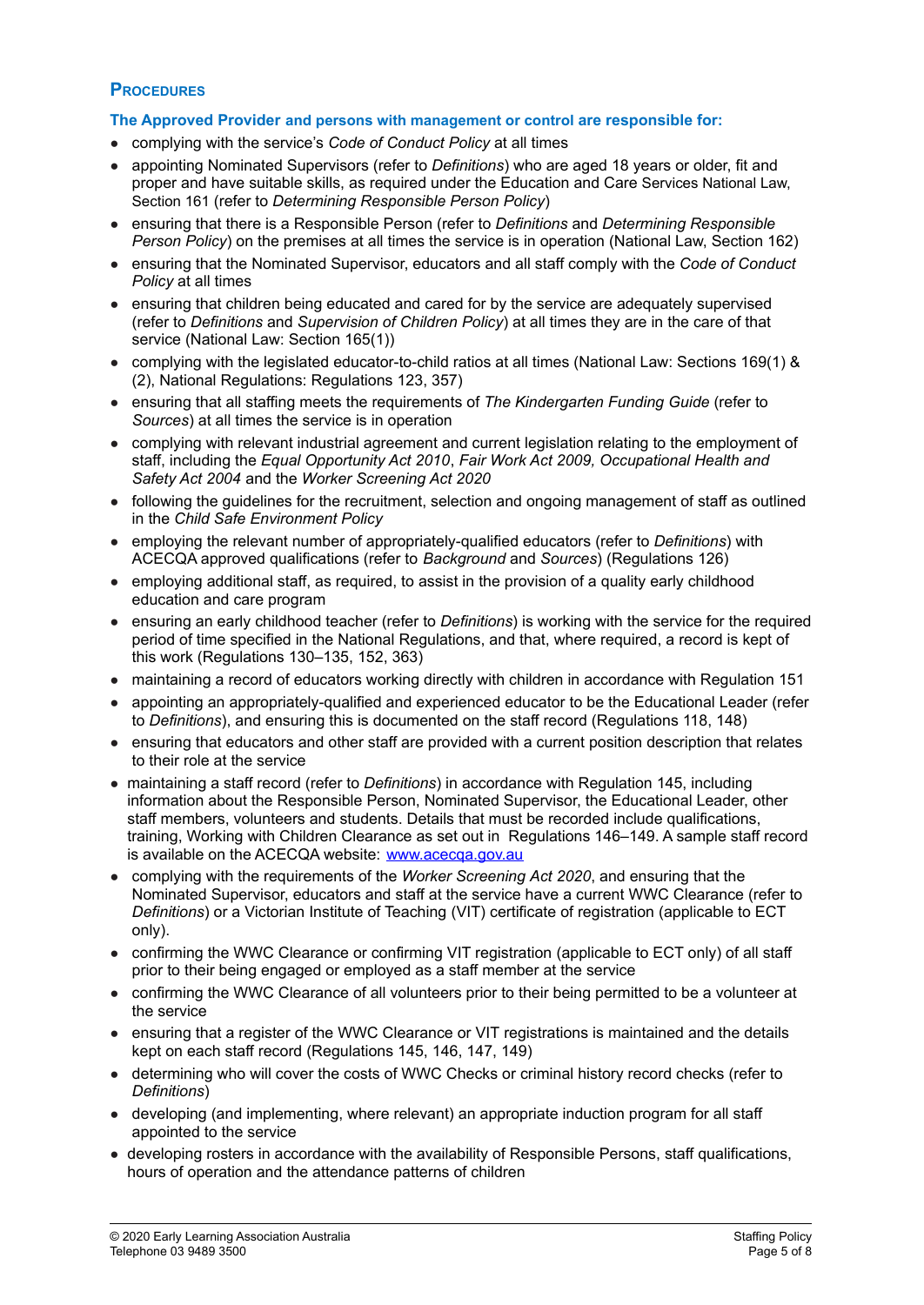# **PROCEDURES**

#### **The Approved Provider and persons with management or control are responsible for:**

- complying with the service's *Code of Conduct Policy* at all times
- appointing Nominated Supervisors (refer to *Definitions*) who are aged 18 years or older, fit and proper and have suitable skills, as required under the Education and Care Services National Law, Section 161 (refer to *Determining Responsible Person Policy*)
- ensuring that there is a Responsible Person (refer to *Definitions* and *Determining Responsible Person Policy*) on the premises at all times the service is in operation (National Law, Section 162)
- ensuring that the Nominated Supervisor, educators and all staff comply with the *Code of Conduct Policy* at all times
- ensuring that children being educated and cared for by the service are adequately supervised (refer to *Definitions* and *Supervision of Children Policy*) at all times they are in the care of that service (National Law: Section 165(1))
- complying with the legislated educator-to-child ratios at all times (National Law: Sections 169(1) & (2), National Regulations: Regulations 123, 357)
- ensuring that all staffing meets the requirements of *The Kindergarten Funding Guide* (refer to *Sources*) at all times the service is in operation
- complying with relevant industrial agreement and current legislation relating to the employment of staff, including the *Equal Opportunity Act 2010*, *Fair Work Act 2009, Occupational Health and Safety Act 2004* and the *Worker Screening Act 2020*
- following the guidelines for the recruitment, selection and ongoing management of staff as outlined in the *Child Safe Environment Policy*
- employing the relevant number of appropriately-qualified educators (refer to *Definitions*) with ACECQA approved qualifications (refer to *Background* and *Sources*) (Regulations 126)
- employing additional staff, as required, to assist in the provision of a quality early childhood education and care program
- ensuring an early childhood teacher (refer to *Definitions*) is working with the service for the required period of time specified in the National Regulations, and that, where required, a record is kept of this work (Regulations 130–135, 152, 363)
- maintaining a record of educators working directly with children in accordance with Regulation 151
- appointing an appropriately-qualified and experienced educator to be the Educational Leader (refer to *Definitions*), and ensuring this is documented on the staff record (Regulations 118, 148)
- ensuring that educators and other staff are provided with a current position description that relates to their role at the service
- maintaining a staff record (refer to *Definitions*) in accordance with Regulation 145, including information about the Responsible Person, Nominated Supervisor, the Educational Leader, other staff members, volunteers and students. Details that must be recorded include qualifications, training, Working with Children Clearance as set out in Regulations 146–149. A sample staff record is available on the ACECQA website: [www.acecqa.gov.au](http://www.acecqa.gov.au)
- complying with the requirements of the *Worker Screening Act 2020*, and ensuring that the Nominated Supervisor, educators and staff at the service have a current WWC Clearance (refer to *Definitions*) or a Victorian Institute of Teaching (VIT) certificate of registration (applicable to ECT only).
- confirming the WWC Clearance or confirming VIT registration (applicable to ECT only) of all staff prior to their being engaged or employed as a staff member at the service
- confirming the WWC Clearance of all volunteers prior to their being permitted to be a volunteer at the service
- ensuring that a register of the WWC Clearance or VIT registrations is maintained and the details kept on each staff record (Regulations 145, 146, 147, 149)
- determining who will cover the costs of WWC Checks or criminal history record checks (refer to *Definitions*)
- developing (and implementing, where relevant) an appropriate induction program for all staff appointed to the service
- developing rosters in accordance with the availability of Responsible Persons, staff qualifications, hours of operation and the attendance patterns of children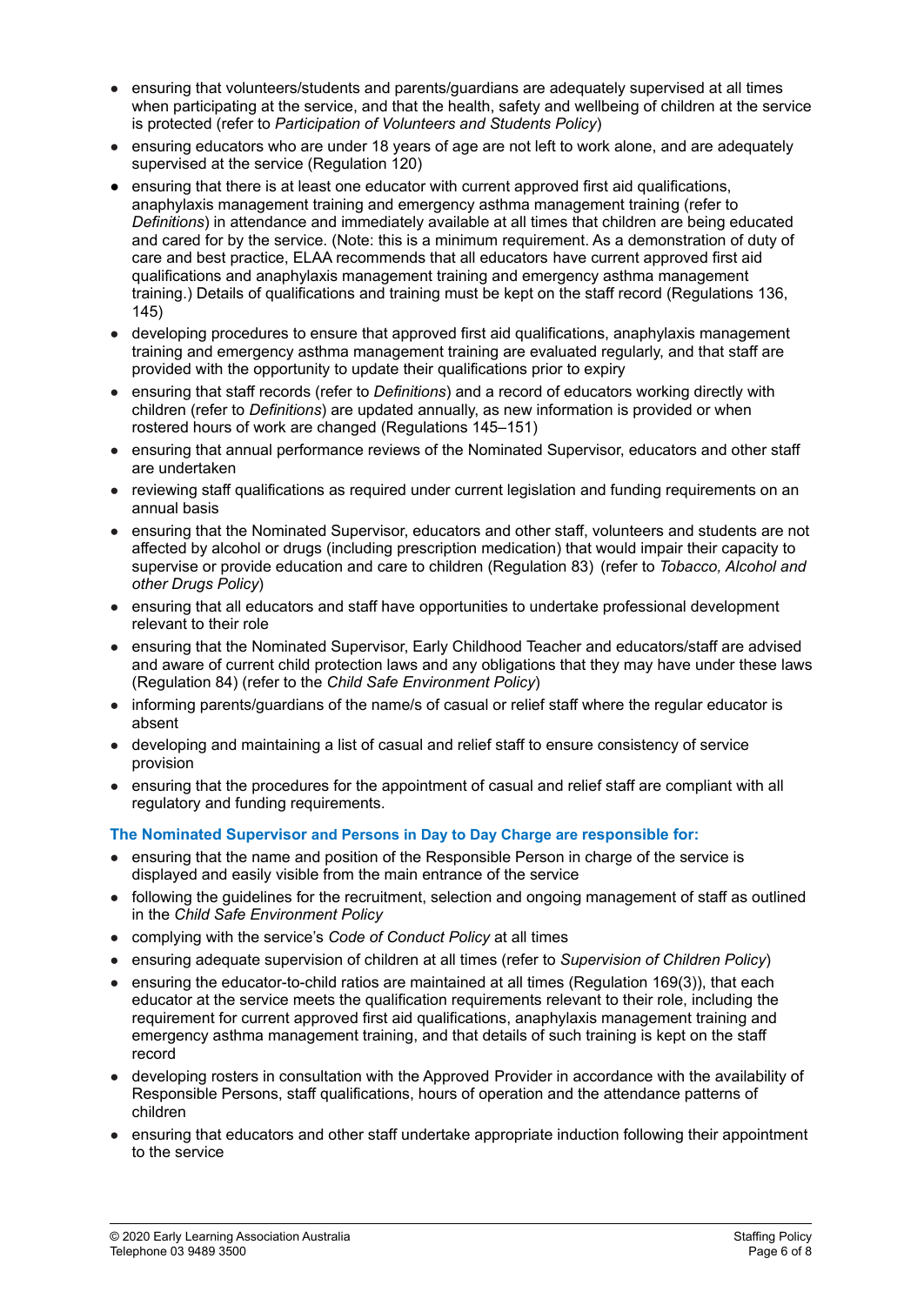- ensuring that volunteers/students and parents/guardians are adequately supervised at all times when participating at the service, and that the health, safety and wellbeing of children at the service is protected (refer to *Participation of Volunteers and Students Policy*)
- ensuring educators who are under 18 years of age are not left to work alone, and are adequately supervised at the service (Regulation 120)
- ensuring that there is at least one educator with current approved first aid qualifications, anaphylaxis management training and emergency asthma management training (refer to *Definitions*) in attendance and immediately available at all times that children are being educated and cared for by the service. (Note: this is a minimum requirement. As a demonstration of duty of care and best practice, ELAA recommends that all educators have current approved first aid qualifications and anaphylaxis management training and emergency asthma management training.) Details of qualifications and training must be kept on the staff record (Regulations 136, 145)
- developing procedures to ensure that approved first aid qualifications, anaphylaxis management training and emergency asthma management training are evaluated regularly, and that staff are provided with the opportunity to update their qualifications prior to expiry
- ensuring that staff records (refer to *Definitions*) and a record of educators working directly with children (refer to *Definitions*) are updated annually, as new information is provided or when rostered hours of work are changed (Regulations 145–151)
- ensuring that annual performance reviews of the Nominated Supervisor, educators and other staff are undertaken
- reviewing staff qualifications as required under current legislation and funding requirements on an annual basis
- ensuring that the Nominated Supervisor, educators and other staff, volunteers and students are not affected by alcohol or drugs (including prescription medication) that would impair their capacity to supervise or provide education and care to children (Regulation 83) (refer to *Tobacco, Alcohol and other Drugs Policy*)
- ensuring that all educators and staff have opportunities to undertake professional development relevant to their role
- ensuring that the Nominated Supervisor, Early Childhood Teacher and educators/staff are advised and aware of current child protection laws and any obligations that they may have under these laws (Regulation 84) (refer to the *Child Safe Environment Policy*)
- informing parents/guardians of the name/s of casual or relief staff where the regular educator is absent
- developing and maintaining a list of casual and relief staff to ensure consistency of service provision
- ensuring that the procedures for the appointment of casual and relief staff are compliant with all regulatory and funding requirements.

# **The Nominated Supervisor and Persons in Day to Day Charge are responsible for:**

- ensuring that the name and position of the Responsible Person in charge of the service is displayed and easily visible from the main entrance of the service
- following the guidelines for the recruitment, selection and ongoing management of staff as outlined in the *Child Safe Environment Policy*
- complying with the service's *Code of Conduct Policy* at all times
- ensuring adequate supervision of children at all times (refer to *Supervision of Children Policy*)
- ensuring the educator-to-child ratios are maintained at all times (Regulation 169(3)), that each educator at the service meets the qualification requirements relevant to their role, including the requirement for current approved first aid qualifications, anaphylaxis management training and emergency asthma management training, and that details of such training is kept on the staff record
- developing rosters in consultation with the Approved Provider in accordance with the availability of Responsible Persons, staff qualifications, hours of operation and the attendance patterns of children
- ensuring that educators and other staff undertake appropriate induction following their appointment to the service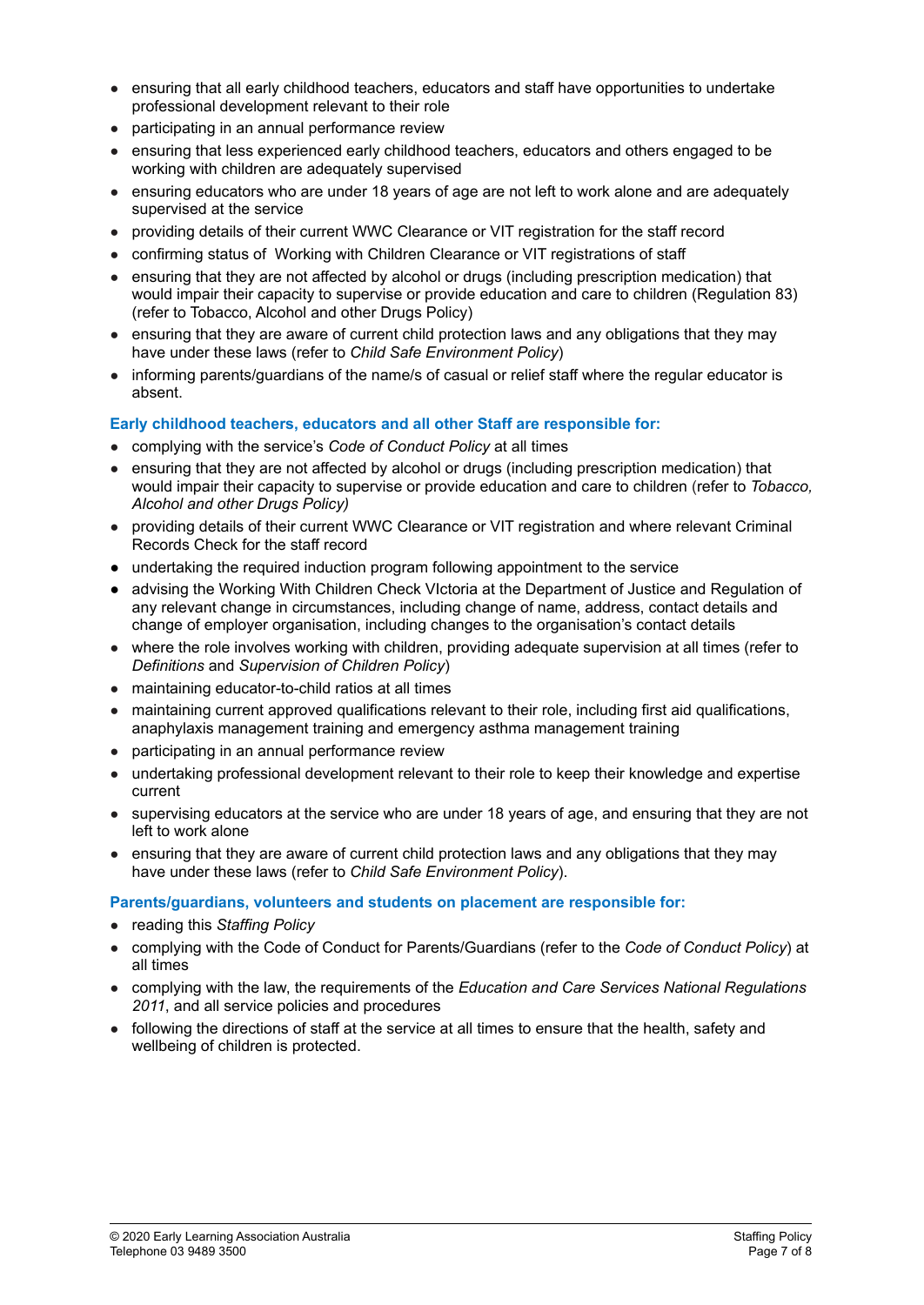- ensuring that all early childhood teachers, educators and staff have opportunities to undertake professional development relevant to their role
- participating in an annual performance review
- ensuring that less experienced early childhood teachers, educators and others engaged to be working with children are adequately supervised
- ensuring educators who are under 18 years of age are not left to work alone and are adequately supervised at the service
- providing details of their current WWC Clearance or VIT registration for the staff record
- confirming status of Working with Children Clearance or VIT registrations of staff
- ensuring that they are not affected by alcohol or drugs (including prescription medication) that would impair their capacity to supervise or provide education and care to children (Regulation 83) (refer to Tobacco, Alcohol and other Drugs Policy)
- ensuring that they are aware of current child protection laws and any obligations that they may have under these laws (refer to *Child Safe Environment Policy*)
- informing parents/guardians of the name/s of casual or relief staff where the regular educator is absent.

#### **Early childhood teachers, educators and all other Staff are responsible for:**

- complying with the service's *Code of Conduct Policy* at all times
- ensuring that they are not affected by alcohol or drugs (including prescription medication) that would impair their capacity to supervise or provide education and care to children (refer to *Tobacco, Alcohol and other Drugs Policy)*
- providing details of their current WWC Clearance or VIT registration and where relevant Criminal Records Check for the staff record
- **●** undertaking the required induction program following appointment to the service
- advising the Working With Children Check VIctoria at the Department of Justice and Regulation of any relevant change in circumstances, including change of name, address, contact details and change of employer organisation, including changes to the organisation's contact details
- where the role involves working with children, providing adequate supervision at all times (refer to *Definitions* and *Supervision of Children Policy*)
- maintaining educator-to-child ratios at all times
- maintaining current approved qualifications relevant to their role, including first aid qualifications, anaphylaxis management training and emergency asthma management training
- participating in an annual performance review
- undertaking professional development relevant to their role to keep their knowledge and expertise current
- supervising educators at the service who are under 18 years of age, and ensuring that they are not left to work alone
- ensuring that they are aware of current child protection laws and any obligations that they may have under these laws (refer to *Child Safe Environment Policy*).

**Parents/guardians, volunteers and students on placement are responsible for:**

- reading this *Staffing Policy*
- complying with the Code of Conduct for Parents/Guardians (refer to the *Code of Conduct Policy*) at all times
- complying with the law, the requirements of the *Education and Care Services National Regulations 2011*, and all service policies and procedures
- following the directions of staff at the service at all times to ensure that the health, safety and wellbeing of children is protected.